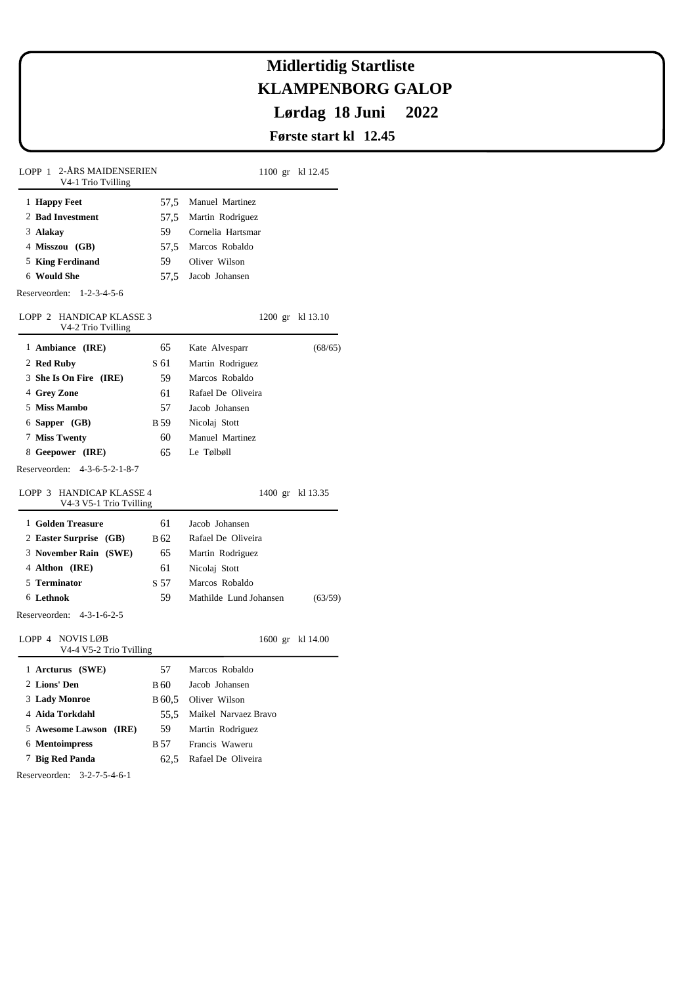# **KLAMPENBORG GALOP Lørdag 18 Juni 2022 Midlertidig Startliste**

### **Første start kl 12.45**

| 2-ÅRS MAIDENSERIEN<br>LOPP 1<br>V4-1 Trio Tvilling  |                 | 1100 gr kl 12.45                  |                  |  |
|-----------------------------------------------------|-----------------|-----------------------------------|------------------|--|
| 1 Happy Feet                                        |                 | 57,5 Manuel Martinez              |                  |  |
| 2 Bad Investment                                    | 57,5            | Martin Rodriguez                  |                  |  |
| 3 Alakay                                            | 59              | Cornelia Hartsmar                 |                  |  |
| 4 Misszou (GB)                                      | 57,5            | Marcos Robaldo                    |                  |  |
| 5 King Ferdinand                                    | 59              | Oliver Wilson                     |                  |  |
| 6 Would She                                         | 57,5            | Jacob Johansen                    |                  |  |
| Reserveorden: 1-2-3-4-5-6                           |                 |                                   |                  |  |
| LOPP 2 HANDICAP KLASSE 3<br>V4-2 Trio Tvilling      |                 |                                   | 1200 gr kl 13.10 |  |
| 1 Ambiance (IRE)                                    | 65              | Kate Alvesparr                    | (68/65)          |  |
| 2 Red Ruby                                          | S 61            | Martin Rodriguez                  |                  |  |
| 3 She Is On Fire (IRE)                              | 59              | Marcos Robaldo                    |                  |  |
| 4 Grey Zone                                         | 61              | Rafael De Oliveira                |                  |  |
| 5 Miss Mambo                                        | 57              | Jacob Johansen                    |                  |  |
| 6 Sapper (GB)                                       | B <sub>59</sub> | Nicolaj Stott                     |                  |  |
| 7 Miss Twenty                                       | 60              | Manuel Martinez                   |                  |  |
| 8 Geepower (IRE)                                    | 65              | Le Tølbøll                        |                  |  |
| Reserveorden: 4-3-6-5-2-1-8-7                       |                 |                                   |                  |  |
| LOPP 3 HANDICAP KLASSE 4<br>V4-3 V5-1 Trio Tvilling |                 |                                   | 1400 gr kl 13.35 |  |
| 1 Golden Treasure                                   | 61              | Jacob Johansen                    |                  |  |
| 2 Easter Surprise (GB)                              | <b>B</b> 62     | Rafael De Oliveira                |                  |  |
| 3 November Rain (SWE)                               | 65              | Martin Rodriguez                  |                  |  |
| 4 Althon (IRE)                                      | 61              | Nicolaj Stott                     |                  |  |
| 5 Terminator                                        | S 57            | Marcos Robaldo                    |                  |  |
| 6 Lethnok                                           | 59              | Mathilde Lund Johansen<br>(63/59) |                  |  |
| Reserveorden: 4-3-1-6-2-5                           |                 |                                   |                  |  |
| LOPP 4 NOVIS LØB<br>V4-4 V5-2 Trio Tvilling         |                 |                                   | 1600 gr kl 14.00 |  |
| 1 Arcturus (SWE)                                    | 57              | Marcos Robaldo                    |                  |  |
| 2 Lions' Den                                        | B 60            | Jacob Johansen                    |                  |  |
| 3 Lady Monroe                                       | B 60,5          | Oliver Wilson                     |                  |  |
| 4 Aida Torkdahl                                     | 55,5            | Maikel Narvaez Bravo              |                  |  |
| 5 Awesome Lawson (IRE)                              | 59              | Martin Rodriguez                  |                  |  |
| 6 Mentoimpress                                      | B 57            | Francis Waweru                    |                  |  |
| 7 Big Red Panda                                     | 62,5            | Rafael De Oliveira                |                  |  |
| Reserveorden: 3-2-7-5-4-6-1                         |                 |                                   |                  |  |